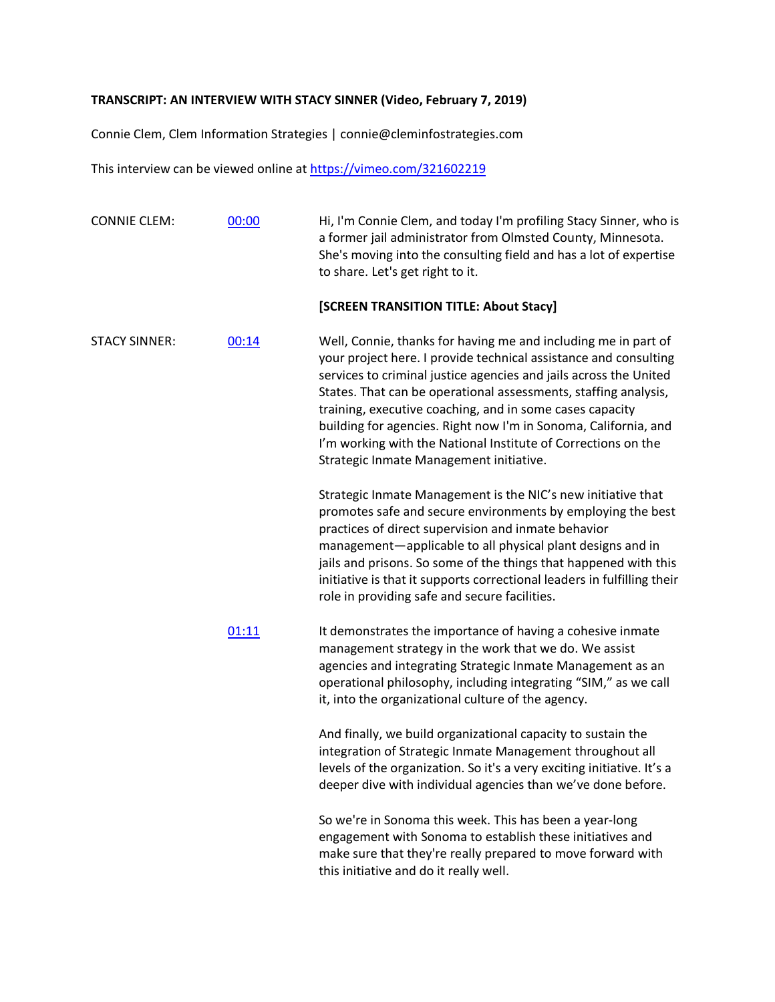## **TRANSCRIPT: AN INTERVIEW WITH STACY SINNER (Video, February 7, 2019)**

Connie Clem, Clem Information Strategies | connie@cleminfostrategies.com

This interview can be viewed online at<https://vimeo.com/321602219>

| <b>CONNIE CLEM:</b>  | 00:00 | Hi, I'm Connie Clem, and today I'm profiling Stacy Sinner, who is<br>a former jail administrator from Olmsted County, Minnesota.<br>She's moving into the consulting field and has a lot of expertise<br>to share. Let's get right to it.                                                                                                                                                                                                                                                                             |
|----------------------|-------|-----------------------------------------------------------------------------------------------------------------------------------------------------------------------------------------------------------------------------------------------------------------------------------------------------------------------------------------------------------------------------------------------------------------------------------------------------------------------------------------------------------------------|
|                      |       | [SCREEN TRANSITION TITLE: About Stacy]                                                                                                                                                                                                                                                                                                                                                                                                                                                                                |
| <b>STACY SINNER:</b> | 00:14 | Well, Connie, thanks for having me and including me in part of<br>your project here. I provide technical assistance and consulting<br>services to criminal justice agencies and jails across the United<br>States. That can be operational assessments, staffing analysis,<br>training, executive coaching, and in some cases capacity<br>building for agencies. Right now I'm in Sonoma, California, and<br>I'm working with the National Institute of Corrections on the<br>Strategic Inmate Management initiative. |
|                      |       | Strategic Inmate Management is the NIC's new initiative that<br>promotes safe and secure environments by employing the best<br>practices of direct supervision and inmate behavior<br>management-applicable to all physical plant designs and in<br>jails and prisons. So some of the things that happened with this<br>initiative is that it supports correctional leaders in fulfilling their<br>role in providing safe and secure facilities.                                                                      |
|                      | 01:11 | It demonstrates the importance of having a cohesive inmate<br>management strategy in the work that we do. We assist<br>agencies and integrating Strategic Inmate Management as an<br>operational philosophy, including integrating "SIM," as we call<br>it, into the organizational culture of the agency.                                                                                                                                                                                                            |
|                      |       | And finally, we build organizational capacity to sustain the<br>integration of Strategic Inmate Management throughout all<br>levels of the organization. So it's a very exciting initiative. It's a<br>deeper dive with individual agencies than we've done before.                                                                                                                                                                                                                                                   |
|                      |       | So we're in Sonoma this week. This has been a year-long<br>engagement with Sonoma to establish these initiatives and<br>make sure that they're really prepared to move forward with<br>this initiative and do it really well.                                                                                                                                                                                                                                                                                         |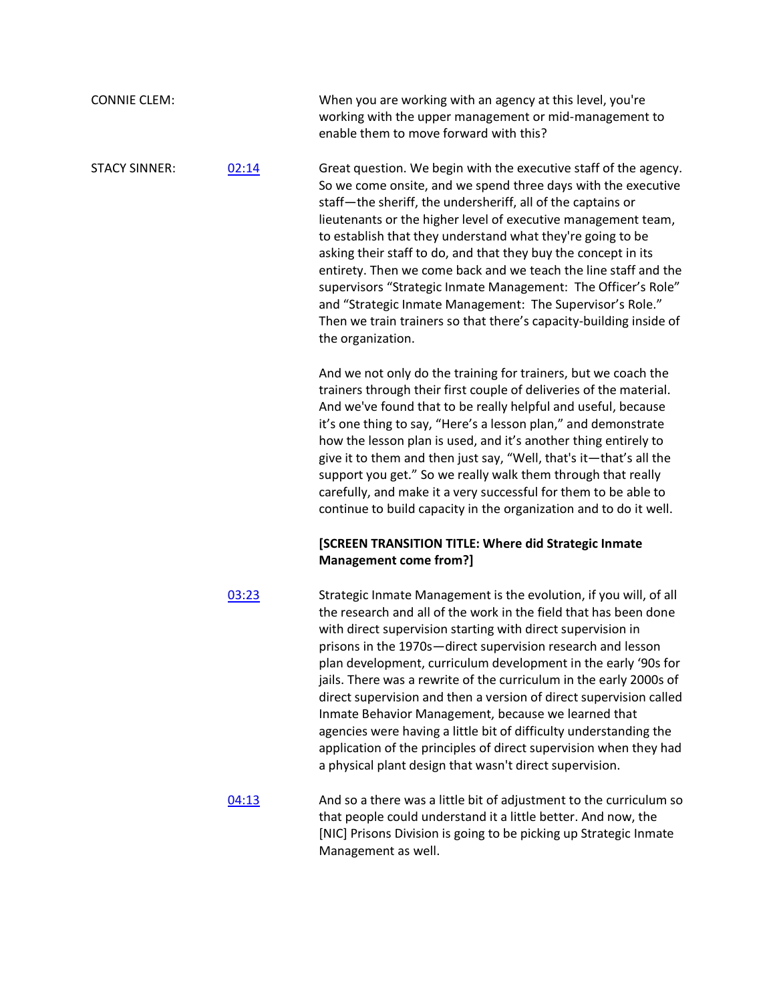| <b>CONNIE CLEM:</b>  |       | When you are working with an agency at this level, you're<br>working with the upper management or mid-management to<br>enable them to move forward with this?                                                                                                                                                                                                                                                                                                                                                                                                                                                                                                                                                                                 |
|----------------------|-------|-----------------------------------------------------------------------------------------------------------------------------------------------------------------------------------------------------------------------------------------------------------------------------------------------------------------------------------------------------------------------------------------------------------------------------------------------------------------------------------------------------------------------------------------------------------------------------------------------------------------------------------------------------------------------------------------------------------------------------------------------|
| <b>STACY SINNER:</b> | 02:14 | Great question. We begin with the executive staff of the agency.<br>So we come onsite, and we spend three days with the executive<br>staff-the sheriff, the undersheriff, all of the captains or<br>lieutenants or the higher level of executive management team,<br>to establish that they understand what they're going to be<br>asking their staff to do, and that they buy the concept in its<br>entirety. Then we come back and we teach the line staff and the<br>supervisors "Strategic Inmate Management: The Officer's Role"<br>and "Strategic Inmate Management: The Supervisor's Role."<br>Then we train trainers so that there's capacity-building inside of<br>the organization.                                                 |
|                      |       | And we not only do the training for trainers, but we coach the<br>trainers through their first couple of deliveries of the material.<br>And we've found that to be really helpful and useful, because<br>it's one thing to say, "Here's a lesson plan," and demonstrate<br>how the lesson plan is used, and it's another thing entirely to<br>give it to them and then just say, "Well, that's it-that's all the<br>support you get." So we really walk them through that really<br>carefully, and make it a very successful for them to be able to<br>continue to build capacity in the organization and to do it well.                                                                                                                      |
|                      |       | [SCREEN TRANSITION TITLE: Where did Strategic Inmate<br>Management come from?]                                                                                                                                                                                                                                                                                                                                                                                                                                                                                                                                                                                                                                                                |
|                      | 03:23 | Strategic Inmate Management is the evolution, if you will, of all<br>the research and all of the work in the field that has been done<br>with direct supervision starting with direct supervision in<br>prisons in the 1970s-direct supervision research and lesson<br>plan development, curriculum development in the early '90s for<br>jails. There was a rewrite of the curriculum in the early 2000s of<br>direct supervision and then a version of direct supervision called<br>Inmate Behavior Management, because we learned that<br>agencies were having a little bit of difficulty understanding the<br>application of the principles of direct supervision when they had<br>a physical plant design that wasn't direct supervision. |
|                      | 04:13 | And so a there was a little bit of adjustment to the curriculum so<br>that people could understand it a little better. And now, the<br>[NIC] Prisons Division is going to be picking up Strategic Inmate<br>Management as well.                                                                                                                                                                                                                                                                                                                                                                                                                                                                                                               |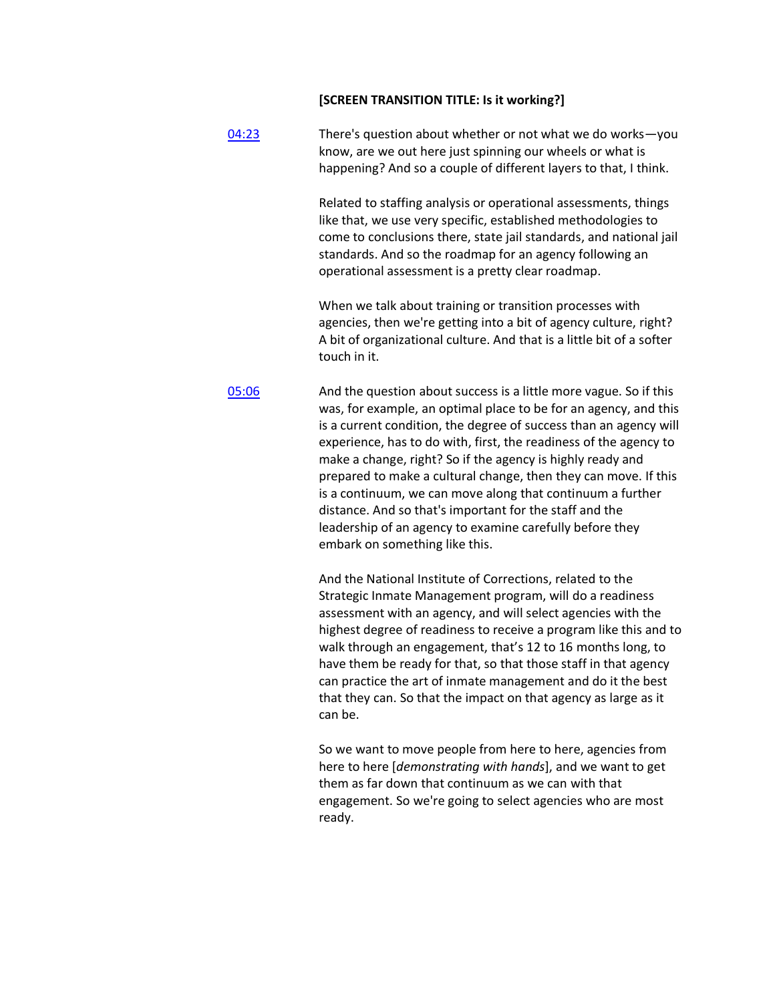## **[SCREEN TRANSITION TITLE: Is it working?]**

| 04:23 | There's question about whether or not what we do works-you<br>know, are we out here just spinning our wheels or what is<br>happening? And so a couple of different layers to that, I think.                                                                                                                                                                                                                                                                                                                                               |  |  |  |
|-------|-------------------------------------------------------------------------------------------------------------------------------------------------------------------------------------------------------------------------------------------------------------------------------------------------------------------------------------------------------------------------------------------------------------------------------------------------------------------------------------------------------------------------------------------|--|--|--|
|       | Related to staffing analysis or operational assessments, things<br>like that, we use very specific, established methodologies to<br>come to conclusions there, state jail standards, and national jail<br>standards. And so the roadmap for an agency following an<br>operational assessment is a pretty clear roadmap.                                                                                                                                                                                                                   |  |  |  |
|       | When we talk about training or transition processes with<br>agencies, then we're getting into a bit of agency culture, right?<br>A bit of organizational culture. And that is a little bit of a softer<br>touch in it.                                                                                                                                                                                                                                                                                                                    |  |  |  |
| 05:06 | And the question about success is a little more vague. So if this<br>was, for example, an optimal place to be for an agency, and this<br>is a current condition, the degree of success than an agency will<br>experience, has to do with, first, the readiness of the agency to<br>make a change, right? So if the agency is highly ready and<br>prepared to make a cultural change, then they can move. If this<br>is a continuum, we can move along that continuum a further<br>distance. And so that's important for the staff and the |  |  |  |

leadership of an agency to examine carefully before they embark on something like this.

And the National Institute of Corrections, related to the Strategic Inmate Management program, will do a readiness assessment with an agency, and will select agencies with the highest degree of readiness to receive a program like this and to walk through an engagement, that's 12 to 16 months long, to have them be ready for that, so that those staff in that agency can practice the art of inmate management and do it the best that they can. So that the impact on that agency as large as it can be.

So we want to move people from here to here, agencies from here to here [*demonstrating with hands*], and we want to get them as far down that continuum as we can with that engagement. So we're going to select agencies who are most ready.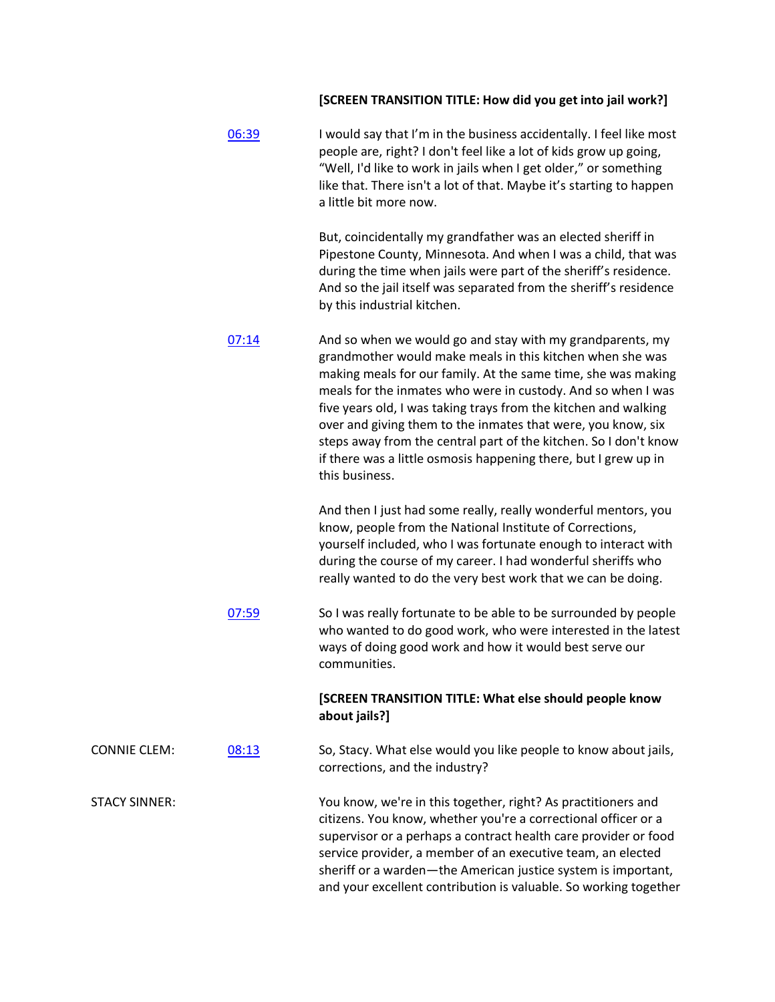## **[SCREEN TRANSITION TITLE: How did you get into jail work?]**

|                      | 06:39 | I would say that I'm in the business accidentally. I feel like most<br>people are, right? I don't feel like a lot of kids grow up going,<br>"Well, I'd like to work in jails when I get older," or something<br>like that. There isn't a lot of that. Maybe it's starting to happen<br>a little bit more now.                                                                                                                                                                                                                                       |
|----------------------|-------|-----------------------------------------------------------------------------------------------------------------------------------------------------------------------------------------------------------------------------------------------------------------------------------------------------------------------------------------------------------------------------------------------------------------------------------------------------------------------------------------------------------------------------------------------------|
|                      |       | But, coincidentally my grandfather was an elected sheriff in<br>Pipestone County, Minnesota. And when I was a child, that was<br>during the time when jails were part of the sheriff's residence.<br>And so the jail itself was separated from the sheriff's residence<br>by this industrial kitchen.                                                                                                                                                                                                                                               |
|                      | 07:14 | And so when we would go and stay with my grandparents, my<br>grandmother would make meals in this kitchen when she was<br>making meals for our family. At the same time, she was making<br>meals for the inmates who were in custody. And so when I was<br>five years old, I was taking trays from the kitchen and walking<br>over and giving them to the inmates that were, you know, six<br>steps away from the central part of the kitchen. So I don't know<br>if there was a little osmosis happening there, but I grew up in<br>this business. |
|                      |       | And then I just had some really, really wonderful mentors, you<br>know, people from the National Institute of Corrections,<br>yourself included, who I was fortunate enough to interact with<br>during the course of my career. I had wonderful sheriffs who<br>really wanted to do the very best work that we can be doing.                                                                                                                                                                                                                        |
|                      | 07:59 | So I was really fortunate to be able to be surrounded by people<br>who wanted to do good work, who were interested in the latest<br>ways of doing good work and how it would best serve our<br>communities.                                                                                                                                                                                                                                                                                                                                         |
|                      |       | [SCREEN TRANSITION TITLE: What else should people know<br>about jails?]                                                                                                                                                                                                                                                                                                                                                                                                                                                                             |
| <b>CONNIE CLEM:</b>  | 08:13 | So, Stacy. What else would you like people to know about jails,<br>corrections, and the industry?                                                                                                                                                                                                                                                                                                                                                                                                                                                   |
| <b>STACY SINNER:</b> |       | You know, we're in this together, right? As practitioners and<br>citizens. You know, whether you're a correctional officer or a<br>supervisor or a perhaps a contract health care provider or food<br>service provider, a member of an executive team, an elected<br>sheriff or a warden-the American justice system is important,<br>and your excellent contribution is valuable. So working together                                                                                                                                              |